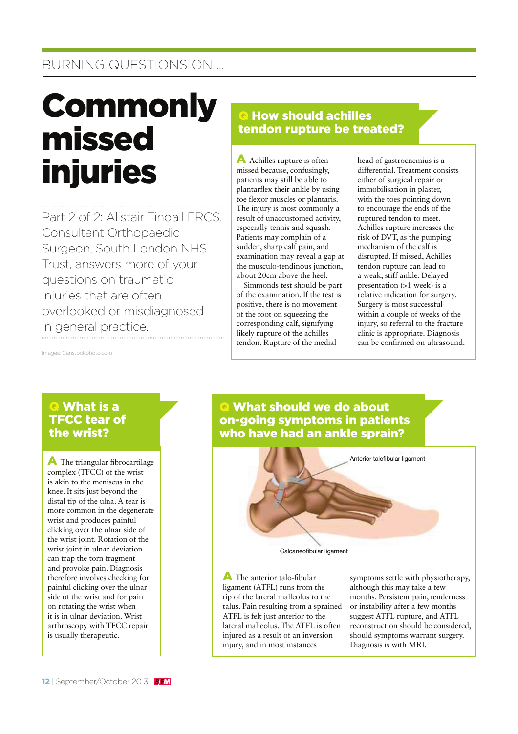## BURNING QUESTIONS ON …

# **Commonly** missed injuries

Part 2 of 2: Alistair Tindall FRCS, Consultant Orthopaedic Surgeon, South London NHS Trust, answers more of your questions on traumatic injuries that are often overlooked or misdiagnosed in general practice.

## **Q How should achilles** tendon rupture be treated?

A Achilles rupture is often missed because, confusingly, patients may still be able to plantarflex their ankle by using toe flexor muscles or plantaris. The injury is most commonly a result of unaccustomed activity, especially tennis and squash. Patients may complain of a sudden, sharp calf pain, and examination may reveal a gap at the musculo-tendinous junction, about 20cm above the heel.

Simmonds test should be part of the examination. If the test is positive, there is no movement of the foot on squeezing the corresponding calf, signifying likely rupture of the achilles tendon. Rupture of the medial

head of gastrocnemius is a differential. Treatment consists either of surgical repair or immobilisation in plaster, with the toes pointing down to encourage the ends of the ruptured tendon to meet. Achilles rupture increases the risk of DVT, as the pumping mechanism of the calf is disrupted. If missed, Achilles tendon rupture can lead to a weak, stiff ankle. Delayed presentation (>1 week) is a relative indication for surgery. Surgery is most successful within a couple of weeks of the injury, so referral to the fracture clinic is appropriate. Diagnosis can be confirmed on ultrasound.

Images: Canstockphoto.com

## **Q** What is a TFCC tear of the wrist?

 $\blacktriangle$  The triangular fibrocartilage complex (TFCC) of the wrist is akin to the meniscus in the knee. It sits just beyond the distal tip of the ulna. A tear is more common in the degenerate wrist and produces painful clicking over the ulnar side of the wrist joint. Rotation of the wrist joint in ulnar deviation can trap the torn fragment and provoke pain. Diagnosis therefore involves checking for painful clicking over the ulnar side of the wrist and for pain on rotating the wrist when it is in ulnar deviation. Wrist arthroscopy with TFCC repair is usually therapeutic.

### **Q** What should we do about on-going symptoms in patients who have had an ankle sprain?



 $\blacktriangle$  The anterior talo-fibular ligament (ATFL) runs from the tip of the lateral malleolus to the talus. Pain resulting from a sprained ATFL is felt just anterior to the lateral malleolus. The ATFL is often injured as a result of an inversion injury, and in most instances

symptoms settle with physiotherapy, although this may take a few months. Persistent pain, tenderness or instability after a few months suggest ATFL rupture, and ATFL reconstruction should be considered, should symptoms warrant surgery. Diagnosis is with MRI.